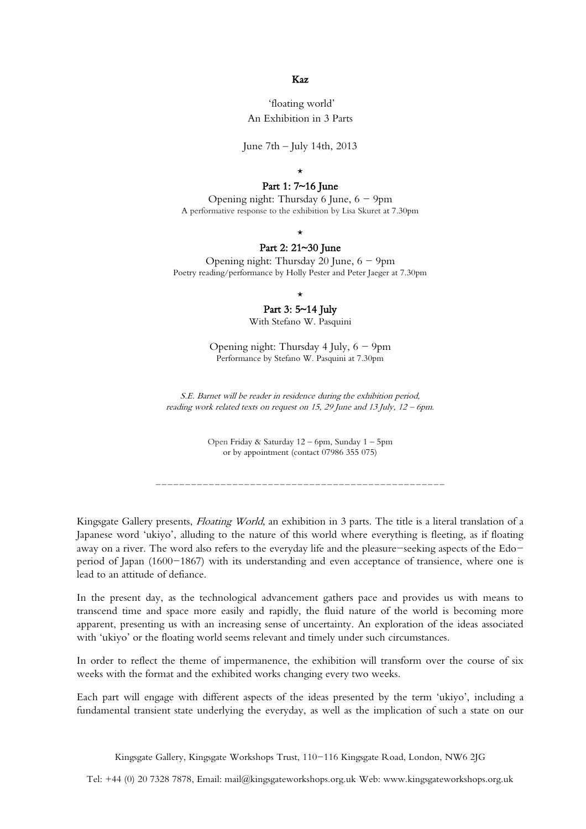#### Kaz

## 'floating world' An Exhibition in 3 Parts

June 7th – July 14th, 2013

#### \*

### Part 1: 7~16 June

Opening night: Thursday 6 June,  $6 - 9$ pm A performative response to the exhibition by Lisa Skuret at 7.30pm

\*

### Part 2: 21~30 June

Opening night: Thursday 20 June,  $6 - 9$ pm Poetry reading/performance by Holly Pester and Peter Jaeger at 7.30pm

### \*

# Part 3: 5~14 July

With Stefano W. Pasquini

Opening night: Thursday 4 July,  $6 - 9$ pm Performance by Stefano W. Pasquini at 7.30pm

S.E. Barnet will be reader in residence during the exhibition period, reading work related texts on request on 15, 29 June and 13 July, 12 – 6pm.

> Open Friday & Saturday 12 – 6pm, Sunday 1 – 5pm or by appointment (contact 07986 355 075)

-------------------------------------------------

Kingsgate Gallery presents, Floating World, an exhibition in 3 parts. The title is a literal translation of a Japanese word 'ukiyo', alluding to the nature of this world where everything is fleeting, as if floating away on a river. The word also refers to the everyday life and the pleasure-seeking aspects of the Edoperiod of Japan (1600-1867) with its understanding and even acceptance of transience, where one is lead to an attitude of defiance.

In the present day, as the technological advancement gathers pace and provides us with means to transcend time and space more easily and rapidly, the fluid nature of the world is becoming more apparent, presenting us with an increasing sense of uncertainty. An exploration of the ideas associated with 'ukiyo' or the floating world seems relevant and timely under such circumstances.

In order to reflect the theme of impermanence, the exhibition will transform over the course of six weeks with the format and the exhibited works changing every two weeks.

Each part will engage with different aspects of the ideas presented by the term 'ukiyo', including a fundamental transient state underlying the everyday, as well as the implication of such a state on our

Kingsgate Gallery, Kingsgate Workshops Trust, 110-116 Kingsgate Road, London, NW6 2JG

Tel: +44 (0) 20 7328 7878, Email: mail@kingsgateworkshops.org.uk Web: www.kingsgateworkshops.org.uk